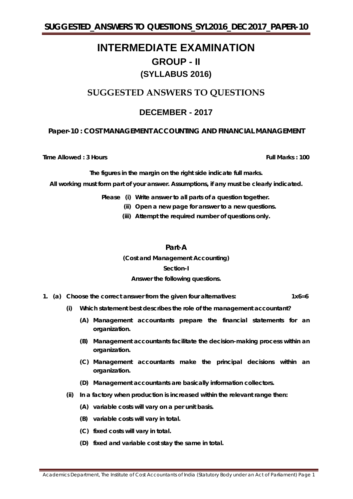# **INTERMEDIATE EXAMINATION GROUP - II (SYLLABUS 2016)**

# **SUGGESTED ANSWERS TO QUESTIONS**

## **DECEMBER - 2017**

## **Paper-10 : COST MANAGEMENT ACCOUNTING AND FINANCIAL MANAGEMENT**

**Time Allowed : 3 Hours Full Marks** : 100

*The figures in the margin on the right side indicate full marks.*

*All working must form part of your answer. Assumptions, if any must be clearly indicated.*

*Please (i) Write answer to all parts of a question together.*

*(ii) Open a new page for answer to a new questions.*

*(iii) Attempt the required number of questions only.*

**Part-A**

**(Cost and Management Accounting)**

## **Section-I**

## **Answer the following questions.**

- **1. (a) Choose the correct answer from the given four alternatives: 1x6=6**
	- **(i) Which statement best describes the role of the management accountant?**
		- **(A) Management accountants prepare the financial statements for an organization.**
		- **(B) Management accountants facilitate the decision-making process within an organization.**
		- **(C) Management accountants make the principal decisions within an organization.**
		- **(D) Management accountants are basically information collectors.**
	- **(ii) In a factory when production is increased within the relevant range then:**
		- **(A) variable costs will vary on a per unit basis.**
		- **(B) variable costs will vary in total.**
		- **(C) fixed costs will vary in total.**
		- **(D) fixed and variable cost stay the same in total.**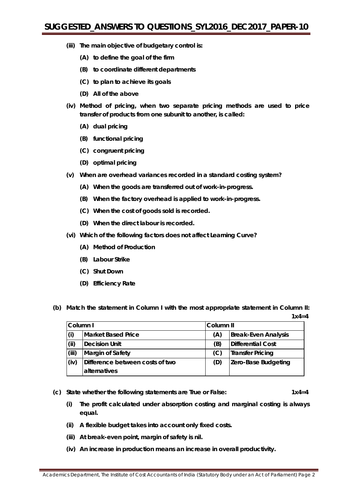- **(iii) The main objective of budgetary control is:**
	- **(A) to define the goal of the firm**
	- **(B) to coordinate different departments**
	- **(C) to plan to achieve its goals**
	- **(D) All of the above**
- **(iv) Method of pricing, when two separate pricing methods are used to price transfer of products from one subunit to another, is called:**
	- **(A) dual pricing**
	- **(B) functional pricing**
	- **(C) congruent pricing**
	- **(D) optimal pricing**
- **(v) When are overhead variances recorded in a standard costing system?**
	- **(A) When the goods are transferred out of work-in-progress.**
	- **(B) When the factory overhead is applied to work-in-progress.**
	- **(C) When the cost of goods sold is recorded.**
	- **(D) When the direct labour is recorded.**
- **(vi) Which of the following factors does not affect Learning Curve?**
	- **(A) Method of Production**
	- **(B) Labour Strike**
	- **(C) Shut Down**
	- **(D) Efficiency Rate**
- **(b) Match the statement in Column I with the most appropriate statement in Column II: 1x4=4**

| Column I |                                 | Column II                         |                         |
|----------|---------------------------------|-----------------------------------|-------------------------|
| (i)      | <b>Market Based Price</b>       | <b>Break-Even Analysis</b><br>(A) |                         |
| (ii)     | Decision Unit                   | (B)                               | Differential Cost       |
| (iii)    | Margin of Safety                | (C)                               | <b>Transfer Pricing</b> |
| (iv)     | Difference between costs of two | (D)                               | Zero-Base Budgeting     |
|          | <b>alternatives</b>             |                                   |                         |

- **(c) State whether the following statements are** *True* **or** *False:* **1x4=4**
	- **(i) The profit calculated under absorption costing and marginal costing is always equal.**
	- **(ii) A flexible budget takes into account only fixed costs.**
	- **(iii) At break-even point, margin of safety is nil.**
	- **(iv) An increase in production means an increase in overall productivity.**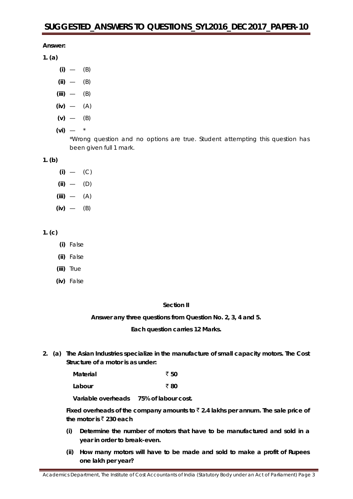**Answer:**

- **1. (a)**
	- **(i)** (B)
	- **(ii)** (B)
	- **(iii)** (B)
	- **(iv)** (A)
	- $(v)$   $(B)$
	- **(vi)** \*

\*Wrong question and no options are true. Student attempting this question has been given full 1 mark.

## **1. (b)**

- **(i)** (C) **(ii)** — (D)
- **(iii)** (A)
- **(iv)** (B)

```
1. (c)
```
- **(i)** False
- **(ii)** False
- **(iii)** True
- **(iv)** False

## **Section II**

**Answer** *any three* **questions from Question No. 2, 3, 4 and 5.**

**Each question carries 12 Marks.**

**2. (a) The Asian Industries specialize in the manufacture of small capacity motors. The Cost Structure of a motor is as under:**

| <b>Material</b> | ₹ 50 |
|-----------------|------|
| Labour          | ₹ 80 |

**Variable overheads 75% of labour cost.**

Fixed overheads of the company amounts to  $\bar{\tau}$  2.4 lakhs per annum. The sale price of **the motor is**  $\bar{\tau}$  **230 each** 

- **(i) Determine the number of motors that have to be manufactured and sold in a year in order to break-even.**
- **(ii) How many motors will have to be made and sold to make a profit of Rupees one lakh per year?**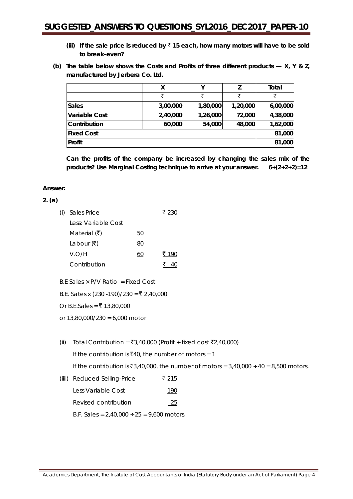- (iii) If the sale price is reduced by  $\bar{z}$  15 each, how many motors will have to be sold **to break-even?**
- **(b) The table below shows the Costs and Profits of three different products — X, Y & Z, manufactured by Jerbera Co. Ltd.**

|                      | X        | ν        |          | Total    |
|----------------------|----------|----------|----------|----------|
|                      | ₹        | ₹        | ₹        | ₹        |
| <b>Sales</b>         | 3,00,000 | 1,80,000 | 1,20,000 | 6,00,000 |
| <b>Variable Cost</b> | 2,40,000 | 1,26,000 | 72,000   | 4,38,000 |
| Contribution         | 60,000   | 54,000   | 48,000   | 1,62,000 |
| <b>Fixed Cost</b>    |          |          |          | 81,000   |
| Profit               |          |          |          | 81,000   |

**Can the profits of the company be increased by changing the sales mix of the products? Use Marginal Costing technique to arrive at your answer. 6+(2+2+2)=12**

## **Answer:**

## **2. (a)**

| (i) | Sales Price                       |    | ₹ 230 |
|-----|-----------------------------------|----|-------|
|     | Less: Variable Cost               |    |       |
|     | Material $(\bar{\mathbf{\zeta}})$ | 50 |       |
|     | Labour $(\bar{\mathbf{z}})$       | 80 |       |
|     | V.O/H                             | 60 | ₹ 190 |
|     | Contribution                      |    |       |
|     |                                   |    |       |

- B.F Sales  $\times$  P/V Ratio = Fixed Cost
- B.E. Sates x (230 -190)/230 = ₹ 2,40,000
- Or B.E.Sales = ₹ 13,80,000
- or 13,80,000/230 = 6,000 motor
- (ii) Total Contribution =  $\overline{3}3,40,000$  (Profit + fixed cost  $\overline{5}2,40,000$ ) If the contribution is  $\bar{x}40$ , the number of motors = 1 If the contribution is  $\bar{z}3,40,000$ , the number of motors =  $3,40,000 \div 40 = 8,500$  motors. (iiii) Reduced Selling-Price  $\bar{\bar{\zeta}}$  215
	- Less Variable Cost 190 Revised contribution 25 B.F. Sales =  $2,40,000 \div 25 = 9,600$  motors.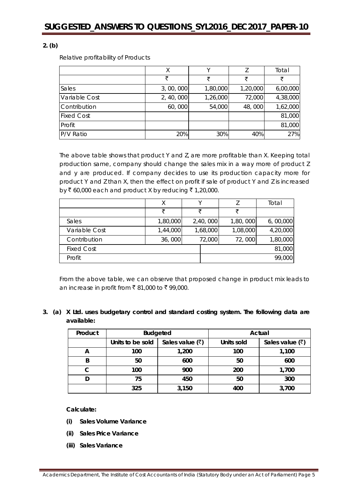## **2. (b)**

Relative profitability of Products

|                   | Χ          |          |          | Total    |
|-------------------|------------|----------|----------|----------|
|                   | ₹          | ₹        | ₹        | ₹        |
| Sales             | 3,00,000   | 1,80,000 | 1,20,000 | 6,00,000 |
| Variable Cost     | 2, 40, 000 | 1,26,000 | 72,000   | 4,38,000 |
| Contribution      | 60,000     | 54,000   | 48,000   | 1,62,000 |
| <b>Fixed Cost</b> |            |          |          | 81,000   |
| Profit            |            |          |          | 81,000   |
| P/V Ratio         | 20%        | 30%      | 40%      | 27%      |

The above table shows that product Y and Z, are more profitable than X. Keeping total production same, company should change the sales mix in a way more of product Z and y are produced. If company decides to use its production capacity more for product Y and Z than X, then the effect on profit if sale of product Y and Z is increased by  $\bar{\zeta}$  60,000 each and product X by reducing  $\bar{\zeta}$  1,20,000.

|                   | Χ        |   |          |          | Total    |
|-------------------|----------|---|----------|----------|----------|
|                   | ヺ        | ₹ |          | ₹        |          |
| Sales             | 1,80,000 |   | 2,40,000 | 1,80,000 | 6,00,000 |
| Variable Cost     | 1,44,000 |   | 1,68,000 | 1,08,000 | 4,20,000 |
| Contribution      | 36,000   |   | 72,000   | 72,000   | 1,80,000 |
| <b>Fixed Cost</b> |          |   |          |          | 81,000   |
| Profit            |          |   |          |          | 99,000   |

From the above table, we can observe that proposed change in product mix leads to an increase in profit from ₹81,000 to ₹99,000.

## **3. (a) X Ltd. uses budgetary control and standard costing system. The following data are available:**

| Product | <b>Budgeted</b>  |                                       |            | Actual            |
|---------|------------------|---------------------------------------|------------|-------------------|
|         | Units to be sold | Sales value $(\overline{\mathbf{z}})$ | Units sold | Sales value $(3)$ |
| A       | 100              | 1,200                                 | 100        | 1,100             |
| B       | 50               | 600                                   | 50         | 600               |
|         | 100              | 900                                   | 200        | 1,700             |
|         | 75               | 450                                   | 50         | 300               |
|         | 325              | 3,150                                 | 400        | 3,700             |

**Calculate:**

- **(i) Sales Volume Variance**
- **(ii) Sales Price Variance**
- **(iii) Sales Variance**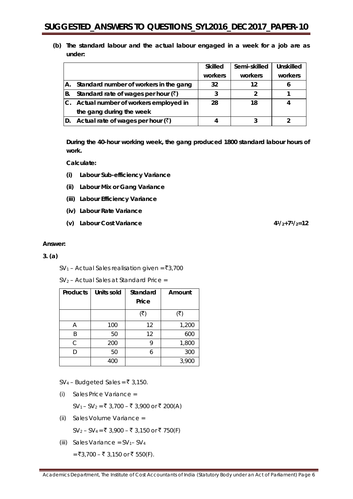**(b) The standard labour and the actual labour engaged in a week for a job are as under:**

|    |                                                  | <b>Skilled</b> | Semi-skilled | Unskilled |
|----|--------------------------------------------------|----------------|--------------|-----------|
|    |                                                  | workers        | workers      | workers   |
|    | A. Standard number of workers in the gang        | 32             | 12           |           |
| B. | Standard rate of wages per hour $(\bar{x})$      |                |              |           |
|    | C. Actual number of workers employed in          | 28             | 18           |           |
|    | the gang during the week                         |                |              |           |
|    | D. Actual rate of wages per hour $(\bar{\zeta})$ |                |              |           |

**During the 40-hour working week, the gang produced 1800 standard labour hours of work.**

**Calculate:**

- **(i) Labour Sub-efficiency Variance**
- **(ii) Labour Mix or Gang Variance**
- **(iii) Labour Efficiency Variance**
- **(iv) Labour Rate Variance**
- **(v) Labour Cost Variance 41/2+71/2=12**

#### **Answer:**

#### **3. (a)**

 $SV<sub>1</sub>$  – Actual Sales realisation given = ₹3,700

 $SV<sub>2</sub>$  – Actual Sales at Standard Price =

| <b>Products</b> | <b>Units sold</b> | Standard<br>Price | Amount |
|-----------------|-------------------|-------------------|--------|
|                 |                   | (₹)               | ₹      |
| Α               | 100               | 12                | 1,200  |
| R               | 50                | 12                | 600    |
| C.              | 200               |                   | 1,800  |
|                 | 50                |                   | 300    |
|                 | 400               |                   | 3,900  |

 $SV_4$  – Budgeted Sales = ₹ 3,150.

(i) Sales Price Variance =

 $SV_1 - SV_2 = ₹ 3,700 - ₹ 3,900$  or ₹ 200(A)

(ii) Sales Volume Variance =

 $SV_2 - SV_4 = ₹ 3,900 - ₹ 3,150$  or ₹ 750(F)

(iii) Sales Variance =  $SV_1$ –  $SV_4$ 

= ₹3,700 – ₹ 3,150 or ₹ 550(F).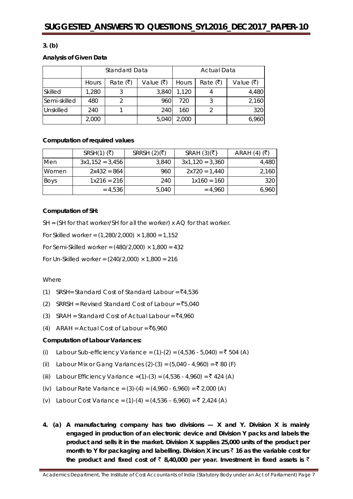## **3. (b)**

#### **Analysis of Given Data**

|              | Standard Data |                                             |       | <b>Actual Data</b> |          |           |
|--------------|---------------|---------------------------------------------|-------|--------------------|----------|-----------|
|              | Hours         | Rate (₹)<br>Value $(\overline{\mathbf{z}})$ |       | Hours              | Rate (₹) | Value (₹) |
| Skilled      | 1,280         |                                             | 3,840 | 1,120              |          | 4,480     |
| Semi-skilled | 480           |                                             | 960   | 720                |          | 2,160     |
| Unskilled    | 240           |                                             | 240   | 160                |          | 320       |
|              | 2,000         |                                             | 5,040 | 2,000              |          | 6,960     |

## **Computation of required values**

|             | $SRSH(1)$ (₹)     | SRRSH $(2)(\overline{5})$ | SRAH $(3)(\overline{5})$ | ARAH $(4)$ $(\overline{\overline{5}})$ |
|-------------|-------------------|---------------------------|--------------------------|----------------------------------------|
| Men         | $3x1,152 = 3,456$ | 3,840                     | $3x1,120 = 3,360$        | 4,480                                  |
| Women       | $2x432 = 864$     | 960                       | $2x720 = 1.440$          | 2,160                                  |
| <b>Boys</b> | $1x216 = 216$     | 240                       | $1x160 = 160$            | 320                                    |
|             | $= 4,536$         | 5.040                     | $= 4.960$                | 6,960                                  |

#### **Computation of SH:**

SH = (SH for that worker/SH for all the worker) x AQ for that worker.

For Skilled worker =  $(1,280/2,000) \times 1,800 = 1,152$ 

For Semi-Skilled worker =  $(480/2,000) \times 1,800 = 432$ 

For Un-Skilled worker =  $(240/2,000) \times 1,800 = 216$ 

#### **Where**

- (1) SRSH= Standard Cost of Standard Labour =  $\bar{z}4,536$
- (2) SRRSH = Revised Standard Cost of Labour =  $\overline{5}5,040$
- (3) SRAH = Standard Cost of Actual Labour =  $\overline{5}4.960$
- (4) ARAH = Actual Cost of Labour =  $\bar{z}6.960$

## **Computation of Labour Variances:**

- (i) Labour Sub-efficiency Variance =  $(1)-(2) = (4,536 5,040) = ₹ 504 (A)$
- (ii) Labour Mix or Gang Variances (2)-(3) =  $(5,040 4,960) = ₹ 80$  (F)
- (iii) Labour Efficiency Variance =(1)-(3) = (4,536 4,960) = ₹ 424 (A)
- (iv) Labour Rate Variance = (3)-(4) = (4,960 6,960) = ₹ 2,000 (A)
- (v) Labour Cost Variance = (1)-(4) = (4,536 6,960) =  $\bar{\tau}$  2,424 (A)
- **4. (a) A manufacturing company has two divisions — X and Y. Division X is mainly engaged in production of an electronic device and Division Y packs and labels the product and sells it in the market. Division X supplies 25,000 units of the product per month to Y for packaging and labelling. Division X incurs** ` **16 as the variable cost for**  the product and fixed cost of  $\bar{\zeta}$  8,40,000 per year. Investment in fixed assets is  $\bar{\zeta}$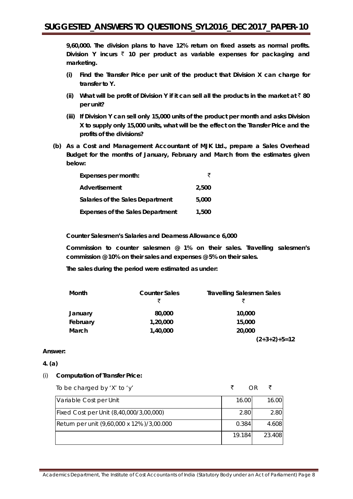**9,60,000. The division plans to have 12% return on fixed assets as normal profits.**  Division Y incurs  $\bar{z}$  10 per product as variable expenses for packaging and **marketing.**

- **(i) Find the Transfer Price per unit of the product that Division X can charge for transfer to Y.**
- **(ii)** What will be profit of Division Y if it can sell all the products in the market at  $\bar{z}$  80 **per unit?**
- **(iii) If Division Y can sell only 15,000 units of the product per month and asks Division X to supply only 15,000 units, what will be the effect on the Transfer Price and the profits of the divisions?**
- **(b) As a Cost and Management Accountant of MJK Ltd., prepare a Sales Overhead Budget for the months of January, February and March from the estimates given below:**

| Expenses per month:                     | ₹     |
|-----------------------------------------|-------|
| Advertisement                           | 2,500 |
| Salaries of the Sales Department        | 5,000 |
| <b>Expenses of the Sales Department</b> | 1,500 |

**Counter Salesmen's Salaries and Dearness Allowance 6,000**

**Commission to counter salesmen @ 1% on their sales. Travelling salesmen's commission @ 10% on their sales and expenses @ 5% on their sales.**

**The sales during the period were estimated as under:**

| Month    | <b>Counter Sales</b> | <b>Travelling Salesmen Sales</b> |
|----------|----------------------|----------------------------------|
|          | ₹                    | ₹                                |
| January  | 80,000               | 10,000                           |
| February | 1,20,000             | 15,000                           |
| March    | 1,40,000             | 20,000                           |
|          |                      | $(2+3+2)+5=12$                   |

## **Answer:**

#### **4. (a)**

## (i) **Computation of Transfer Price:**

To be charged by 'X' to 'y'  $\bar{\zeta}$  OR  $\bar{\zeta}$ 

| Variable Cost per Unit                    | 16.00  | 16.00  |
|-------------------------------------------|--------|--------|
| Fixed Cost per Unit (8,40,000/3,00,000)   | 2.80   | 2.80   |
| Return per unit (9,60,000 x 12%)/3,00.000 | 0.384  | 4.608  |
|                                           | 19.184 | 23.408 |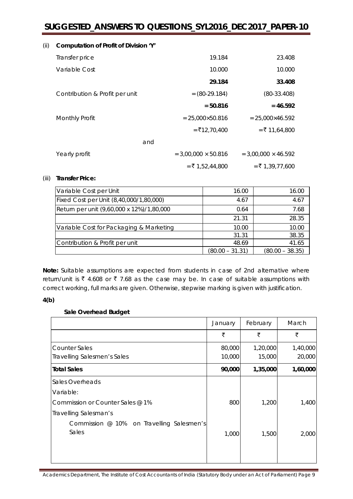| (ii) | Computation of Profit of Division 'Y' |                            |                            |
|------|---------------------------------------|----------------------------|----------------------------|
|      | Transfer price                        | 19.184                     | 23.408                     |
|      | Variable Cost                         | 10.000                     | 10.000                     |
|      |                                       | 29.184                     | 33.408                     |
|      | Contribution & Profit per unit        | $= (80-29.184)$            | $(80-33.408)$              |
|      |                                       | $= 50.816$                 | $= 46.592$                 |
|      | <b>Monthly Profit</b>                 | $= 25,000 \times 50.816$   | $= 25,000 \times 46.592$   |
|      |                                       | $=$ ₹12,70,400             | $=$ ₹ 11,64,800            |
|      | and                                   |                            |                            |
|      | Yearly profit                         | $= 3,00,000 \times 50.816$ | $= 3,00,000 \times 46.592$ |
|      |                                       | $=$ ₹ 1,52,44,800          | $=$ ₹ 1,39,77,600          |

#### (iii) **Transfer Price:**

| Variable Cost per Unit                    | 16.00           | 16.00             |
|-------------------------------------------|-----------------|-------------------|
| Fixed Cost per Unit (8,40,000/1,80,000)   | 4.67            | 4.67              |
| Return per unit (9,60,000 x 12%)/1,80,000 | 0.64            | 7.68              |
|                                           | 21.31           | 28.35             |
| Variable Cost for Packaging & Marketing   | 10.00           | 10.00             |
|                                           | 31.31           | 38.35             |
| Contribution & Profit per unit            | 48.69           | 41.65             |
|                                           | (80.00 – 31.31) | $(80.00 - 38.35)$ |

**Note:** Suitable assumptions are expected from students in case of 2nd alternative where return/unit is  $\bar{\tau}$  4.608 or  $\bar{\tau}$  7.68 as the case may be. In case of suitable assumptions with correct working, full marks are given. Otherwise, stepwise marking is given with justification.

#### **4(b)**

## **Sale Overhead Budget**

|                                           | January | February | March    |
|-------------------------------------------|---------|----------|----------|
|                                           | ₹       | ₹        | ₹        |
| <b>Counter Sales</b>                      | 80,000  | 1,20,000 | 1,40,000 |
| Travelling Salesmen's Sales               | 10,000  | 15,000   | 20,000   |
| <b>Total Sales</b>                        | 90,000  | 1,35,000 | 1,60,000 |
| Sales Overheads                           |         |          |          |
| Variable:                                 |         |          |          |
| Commission or Counter Sales @ 1%          | 800     | 1,200    | 1,400    |
| Travelling Salesman's                     |         |          |          |
| Commission @ 10% on Travelling Salesmen's |         |          |          |
| Sales                                     | 1,000   | 1,500    | 2,000    |
|                                           |         |          |          |
|                                           |         |          |          |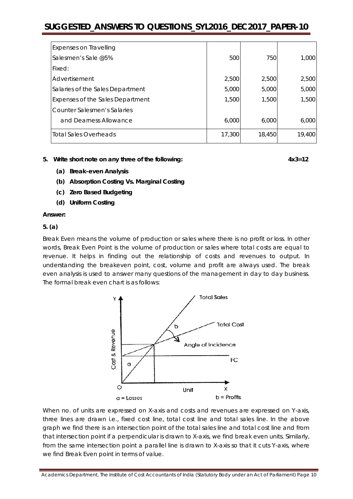| <b>Expenses on Travelling</b>    |        |        |        |
|----------------------------------|--------|--------|--------|
| Salesmen's Sale @5%              | 500    | 750    | 1,000  |
| Fixed:                           |        |        |        |
| Advertisement                    | 2,500  | 2,500  | 2,500  |
| Salaries of the Sales Department | 5,000  | 5,000  | 5,000  |
| Expenses of the Sales Department | 1,500  | 1,500  | 1,500  |
| Counter Salesmen's Salaries      |        |        |        |
| and Dearness Allowance           | 6.000  | 6.000  | 6,000  |
| Total Sales Overheads            | 17,300 | 18,450 | 19,400 |

#### **5. Write short note on** *any three* **of the following: 4x3=12**

- **(a) Break-even Analysis**
- **(b) Absorption Costing Vs. Marginal Costing**
- **(c) Zero Based Budgeting**
- **(d) Uniform Costing**

#### **Answer:**

#### **5. (a)**

Break Even means the volume of production or sales where there is no profit or loss. In other words, Break Even Point is the volume of production or sales where total costs are equal to revenue. It helps in finding out the relationship of costs and revenues to output. In understanding the breakeven point, cost, volume and profit are always used. The break even analysis is used to answer many questions of the management in day to day business. The formal break even chart is as follows:



When no. of units are expressed on X-axis and costs and revenues are expressed on Y-axis, three lines are drawn i.e., fixed cost line, total cost line and total sales line. In the above graph we find there is an intersection point of the total sales line and total cost line and from that intersection point if a perpendicular is drawn to X-axis, we find break even units. Similarly, from the same intersection point a parallel line is drawn to X-axis so that it cuts Y-axis, where we find Break Even point in terms of value.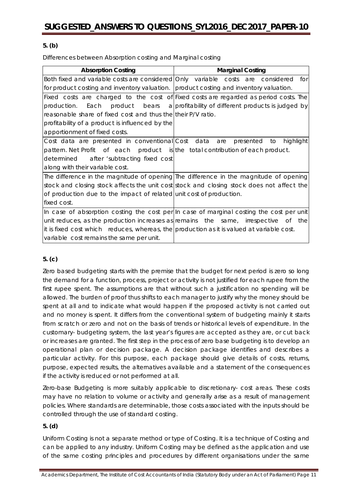## **5. (b)**

Differences between Absorption costing and Marginal costing

| <b>Absorption Costing</b>                                                                 | <b>Marginal Costing</b>                                                                   |
|-------------------------------------------------------------------------------------------|-------------------------------------------------------------------------------------------|
| Both fixed and variable costs are considered Only variable costs are considered           | for                                                                                       |
| for product costing and inventory valuation.   product costing and inventory valuation.   |                                                                                           |
|                                                                                           | Fixed costs are charged to the cost of Fixed costs are regarded as period costs. The      |
| Each<br>production.                                                                       | product bears a profitability of different products is judged by                          |
| reasonable share of fixed cost and thus the their P/V ratio.                              |                                                                                           |
| profitability of a product is influenced by the                                           |                                                                                           |
| apportionment of fixed costs.                                                             |                                                                                           |
| Cost data are presented in conventional Cost data                                         | highlight<br>to<br>are<br>presented                                                       |
| pattern. Net Profit of each product is the total contribution of each product.            |                                                                                           |
| determined after 'subtracting fixed cost                                                  |                                                                                           |
| along with their variable cost.                                                           |                                                                                           |
|                                                                                           | The difference in the magnitude of opening The difference in the magnitude of opening     |
|                                                                                           | stock and closing stock affects the unit cost stock and closing stock does not affect the |
| of production due to the impact of related unit cost of production.                       |                                                                                           |
| fixed cost.                                                                               |                                                                                           |
|                                                                                           | In case of absorption costing the cost per In case of marginal costing the cost per unit  |
|                                                                                           | unit reduces, as the production increases as remains the same, irrespective of the        |
| it is fixed cost which reduces, whereas, the production as it is valued at variable cost. |                                                                                           |
| variable cost remains the same per unit.                                                  |                                                                                           |

## **5. (c)**

Zero based budgeting starts with the premise that the budget for next period is zero so long the demand for a function, process, project or activity is not justified for each rupee from the first rupee spent. The assumptions are that without such a justification no spending will be allowed. The burden of proof thus shifts to each manager to justify why the money should be spent at all and to indicate what would happen if the proposed activity is not carried out and no money is spent. It differs from the conventional system of budgeting mainly it starts from scratch or zero and not on the basis of trends or historical levels of expenditure. In the customary- budgeting system, the last year's figures are accepted as they are, or cut back or increases are granted. The first step in the process of zero base budgeting is to develop an operational plan or decision package. A decision package identifies and describes a particular activity. For this purpose, each package should give details of costs, returns, purpose, expected results, the alternatives available and a statement of the consequences if the activity is reduced or not performed at all.

Zero-base Budgeting is more suitably applicable to discretionary- cost areas. These costs may have no relation to volume or activity and generally arise as a result of management policies. Where standards are determinable, those costs associated with the inputs should be controlled through the use of standard costing.

## **5. (d)**

Uniform Costing is not a separate method or type of Costing. It is a technique of Costing and can be applied to any industry. Uniform Costing may be defined as the application and use of the same costing principles and procedures by different organisations under the same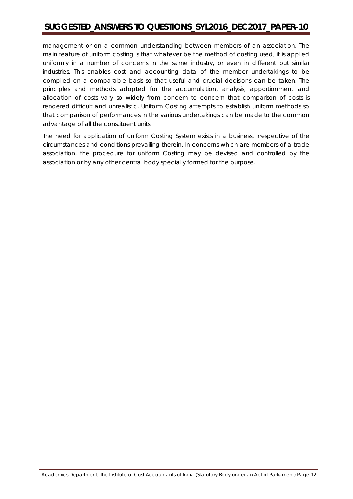management or on a common understanding between members of an association. The main feature of uniform costing is that whatever be the method of costing used, it is applied uniformly in a number of concerns in the same industry, or even in different but similar industries. This enables cost and accounting data of the member undertakings to be compiled on a comparable basis so that useful and crucial decisions can be taken. The principles and methods adopted for the accumulation, analysis, apportionment and allocation of costs vary so widely from concern to concern that comparison of costs is rendered difficult and unrealistic. Uniform Costing attempts to establish uniform methods so that comparison of performances in the various undertakings can be made to the common advantage of all the constituent units.

The need for application of uniform Costing System exists in a business, irrespective of the circumstances and conditions prevailing therein. In concerns which are members of a trade association, the procedure for uniform Costing may be devised and controlled by the association or by any other central body specially formed for the purpose.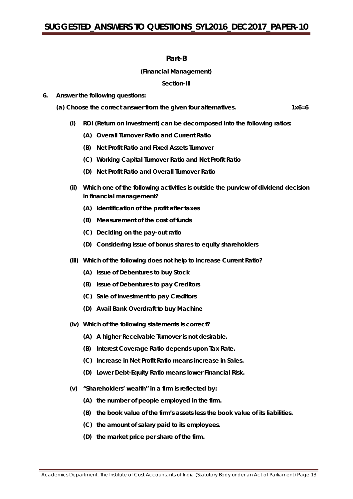## **Part-B**

### **(Financial Management)**

#### **Section-Ill**

- **6. Answer the following questions:**
	- **(a) Choose the correct answer from the given four alternatives. 1x6=6**
		- **(i) ROI (Return on Investment) can be decomposed into the following ratios:**
			- **(A) Overall Turnover Ratio and Current Ratio**
			- **(B) Net Profit Ratio and Fixed Assets Turnover**
			- **(C) Working Capital Turnover Ratio and Net Profit Ratio**
			- **(D) Net Profit Ratio and Overall Turnover Ratio**
		- **(ii) Which one of the following activities is outside the purview of dividend decision in financial management?**
			- **(A) Identification of the profit after taxes**
			- **(B) Measurement of the cost of funds**
			- **(C) Deciding on the pay-out ratio**
			- **(D) Considering issue of bonus shares to equity shareholders**
		- **(iii) Which of the following does not help to increase Current Ratio?**
			- **(A) Issue of Debentures to buy Stock**
			- **(B) Issue of Debentures to pay Creditors**
			- **(C) Sale of Investment to pay Creditors**
			- **(D) Avail Bank Overdraft to buy Machine**
		- **(iv) Which of the following statements is correct?**
			- **(A) A higher Receivable Turnover is not desirable.**
			- **(B) Interest Coverage Ratio depends upon Tax Rate.**
			- **(C) Increase in Net Profit Ratio means increase in Sales.**
			- **(D) Lower Debt-Equity Ratio means lower Financial Risk.**
		- **(v) "Shareholders' wealth" in a firm is reflected by:**
			- **(A) the number of people employed in the firm.**
			- **(B) the book value of the firm's assets less the book value of its liabilities.**
			- **(C) the amount of salary paid to its employees.**
			- **(D) the market price per share of the firm.**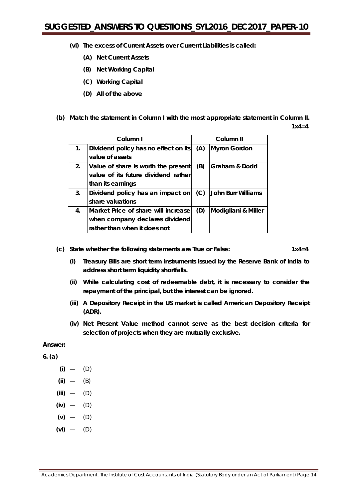- **(vi) The excess of Current Assets over Current Liabilities is called:**
	- **(A) Net Current Assets**
	- **(B) Net Working Capital**
	- **(C) Working Capital**
	- **(D) All of the above**
- **(b) Match the statement in Column I with the most appropriate statement in Column II.**

**1x4=4**

|    | Column I                             | Column II |                           |
|----|--------------------------------------|-----------|---------------------------|
| 1. | Dividend policy has no effect on its | (A)       | <b>Myron Gordon</b>       |
|    | value of assets                      |           |                           |
| 2. | Value of share is worth the present  | (B)       | Graham & Dodd             |
|    | value of its future dividend rather  |           |                           |
|    | than its earnings                    |           |                           |
| 3. | Dividend policy has an impact on     | (C)       | <b>John Burr Williams</b> |
|    | share valuations                     |           |                           |
| 4. | Market Price of share will increase  | (D)       | Modigliani & Miller       |
|    | when company declares dividend       |           |                           |
|    | rather than when it does not         |           |                           |

**(c) State whether the following statements are** *True or False:* **1x4=4**

- **(i) Treasury Bills are short term instruments issued by the Reserve Bank of India to address short term liquidity shortfalls.**
- **(ii) While calculating cost of redeemable debt, it is necessary to consider the repayment of the principal, but the interest can be ignored.**
- **(iii) A Depository Receipt in the US market is called American Depository Receipt (ADR).**
- **(iv) Net Present Value method cannot serve as the best decision criteria for selection of projects when they are mutually exclusive.**

**Answer:**

**6. (a)**

- **(i)** (D)
- **(ii)** (B)
- **(iii)** (D)
- **(iv)** (D)
- **(v)** (D)
- **(vi)** (D)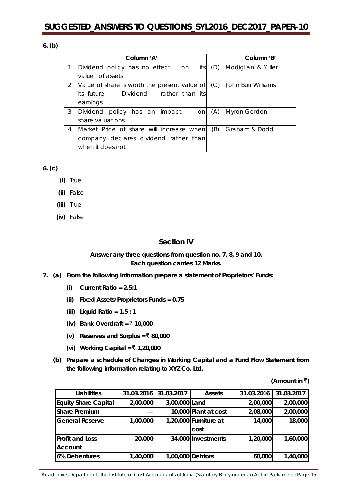### **6. (b)**

|    | Column 'A'                                          | Column 'B'          |
|----|-----------------------------------------------------|---------------------|
| 1. | its<br>Dividend policy has no effect on<br>(D)      | Modigliani & Miller |
|    | value of assets                                     |                     |
|    | Value of share is worth the present value of<br>(C) | John Burr Williams  |
|    | Dividend rather than its<br>its future              |                     |
|    | earnings.                                           |                     |
| 3. | Dividend policy has an impact<br>(A)<br><b>on</b>   | Myron Gordon        |
|    | share valuations                                    |                     |
| 4. | (B)<br>Market Price of share will increase when     | Graham & Dodd       |
|    | company declares dividend rather than               |                     |
|    | when it does not                                    |                     |

#### **6. (c)**

- **(i)** True
- **(ii)** False
- **(iii)** True
- **(iv)** False

## **Section IV**

## **Answer** *any three* **questions from question no. 7, 8, 9 and 10. Each question carries 12 Marks.**

- **7. (a) From the following information prepare a statement of Proprietors' Funds:**
	- **(i) Current Ratio = 2.5:1**
	- **(ii) Fixed Assets/Proprietors Funds = 0.75**
	- **(iii) Liquid Ratio = 1.5 : 1**
	- **(iv)** Bank Overdraft =  $\overline{5}$  10,000
	- **(v)** Reserves and Surplus =  $\bar{\tau}$  80,000
	- **(vi) Working Capital =** ` **1,20,000**
	- **(b) Prepare a schedule of Changes in Working Capital and a Fund Flow Statement from the following information relating to XYZ Co. Ltd.**

**(Amount in**  $\bar{z}$ **)** 

| Liabilities                 | 31.03.2016 | 31.03.2017       | <b>Assets</b>         | 31.03.2016 | 31.03.2017 |
|-----------------------------|------------|------------------|-----------------------|------------|------------|
| <b>Equity Share Capital</b> | 2,00,000   | 3,00,000 Land    |                       | 2,00,000   | 2,00,000   |
| <b>Share Premium</b>        |            |                  | 10,000 Plant at cost  | 2,08,000   | 2,00,000   |
| <b>General Reserve</b>      | 1,00,000   |                  | 1,20,000 Furniture at | 14,000     | 18,000     |
|                             |            |                  | cost                  |            |            |
| <b>Profit and Loss</b>      | 20,000     |                  | 34,000 Investments    | 1,20,000   | 1,60,000   |
| Account                     |            |                  |                       |            |            |
| 6% Debentures               | 1,40,000   | 1,00,000 Debtors |                       | 60,000     | 1,40,000   |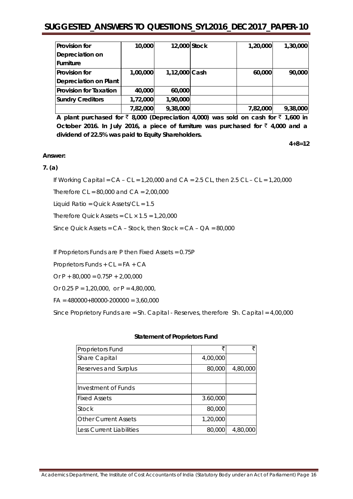| <b>Provision for</b>          | 10,000   | 12,000 Stock  | 1,20,000 | 1,30,000 |
|-------------------------------|----------|---------------|----------|----------|
| Depreciation on               |          |               |          |          |
| Furniture                     |          |               |          |          |
| <b>Provision for</b>          | 1,00,000 | 1,12,000 Cash | 60,000   | 90,000   |
| Depreciation on Plant         |          |               |          |          |
| <b>Provision for Taxation</b> | 40,000   | 60,000        |          |          |
| <b>Sundry Creditors</b>       | 1,72,000 | 1,90,000      |          |          |
|                               | 7,82,000 | 9,38,000      | 7,82,000 | 9,38,000 |

**A plant purchased for**  $\bar{\tau}$  **8,000 (Depreciation 4,000) was sold on cash for**  $\bar{\tau}$  **1,600 in** October 2016. In July 2016, a piece of furniture was purchased for  $\bar{z}$  4,000 and a **dividend of 22.5% was paid to Equity Shareholders.**

**4+8=12**

#### **Answer:**

#### **7. (a)**

If Working Capital = CA – CL = 1,20,000 and CA = 2.5 CL, then 2.5 CL – CL *=* 1,20,000

Therefore  $CL = 80,000$  and  $CA = 2,00,000$ 

Liquid Ratio = Quick Assets/CL = 1.5

Therefore Quick Assets =  $CL \times 1.5 = 1,20,000$ 

Since Quick Assets = CA – Stock, then Stock = CA – QA = 80,000

If Proprietors Funds are P then Fixed Assets = 0.75P

Proprietors Funds + CL = FA + CA

Or  $P + 80,000 = 0.75P + 2,00,000$ 

Or 0.25 P = 1,20,000, or P = 4,80,000,

 $FA = 480000+80000-200000 = 3,60,000$ 

Since Proprietory Funds are = Sh. Capital *-* Reserves, therefore Sh. Capital = 4,00,000

#### **Statement of Proprietors Fund**

| <b>Proprietors Fund</b>         |          |          |
|---------------------------------|----------|----------|
| Share Capital                   | 4,00,000 |          |
| Reserves and Surplus            | 80,000   | 4,80,000 |
|                                 |          |          |
| Investment of Funds             |          |          |
| <b>Fixed Assets</b>             | 3.60,000 |          |
| Stock                           | 80,000   |          |
| <b>Other Current Assets</b>     | 1,20,000 |          |
| <b>Less Current Liabilities</b> | 80,000   | 4,80,000 |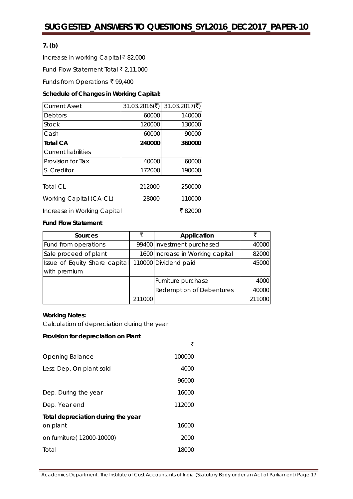## **7. (b)**

Increase in working Capital ₹82,000

Fund Flow Statement Total  $\bar{\bar{\xi}}$  2,11,000

Funds from Operations ₹99,400

#### **Schedule of Changes in Working Capital:**

| <b>Current Asset</b>        | 31.03.2016 $(\overline{\mathbf{x}})$ | 31.03.2017( $\bar{\tau}$ ) |
|-----------------------------|--------------------------------------|----------------------------|
| Debtors                     | 60000                                | 140000                     |
| <b>Stock</b>                | 120000                               | 130000                     |
| Cash                        | 60000                                | 90000                      |
| <b>Total CA</b>             | 240000                               | 360000                     |
| Current liabilities         |                                      |                            |
| Provision for Tax           | 40000                                | 60000                      |
| S. Creditor                 | 172000                               | 190000                     |
| Total CL                    | 212000                               | 250000                     |
| Working Capital (CA-CL)     | 28000                                | 110000                     |
| Increase in Working Capital |                                      | ₹ 82000                    |

#### **Fund Flow Statement**

| Sources                       | ₹      | Application                      | ₹      |
|-------------------------------|--------|----------------------------------|--------|
| Fund from operations          |        | 99400 Investment purchased       | 40000  |
| Sale proceed of plant         |        | 1600 Increase in Working capital | 82000  |
| Issue of Equity Share capital |        | 110000 Dividend paid             | 45000  |
| with premium                  |        |                                  |        |
|                               |        | Furniture purchase               | 4000   |
|                               |        | Redemption of Debentures         | 40000  |
|                               | 211000 |                                  | 211000 |

#### **Working Notes:**

Calculation of depreciation during the year

#### **Provision for depreciation on Plant**

|                                    | ₹      |
|------------------------------------|--------|
| Opening Balance                    | 100000 |
| Less: Dep. On plant sold           | 4000   |
|                                    | 96000  |
| Dep. During the year               | 16000  |
| Dep. Year end                      | 112000 |
| Total depreciation during the year |        |
| on plant                           | 16000  |
| on fumiture(12000-10000)           | 2000   |
| Total                              | 18000  |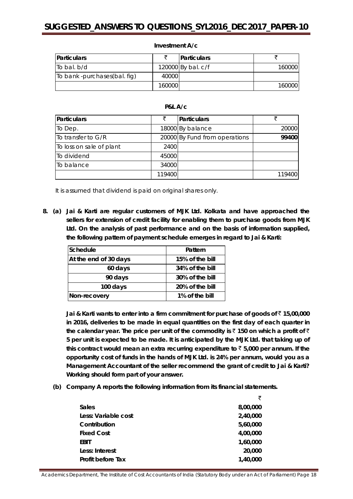| <b>Particulars</b>           |        | Particulars          |         |
|------------------------------|--------|----------------------|---------|
| To bal. b/d                  |        | 120000 By bal. $c/f$ | 160000  |
| To bank -purchases(bal. fig) | 40000  |                      |         |
|                              | 160000 |                      | 1600001 |

#### **Investment A/c**

## **P&L A/c**

| Particulars              |        | Particulars                   |        |
|--------------------------|--------|-------------------------------|--------|
| To Dep.                  |        | 18000 By balance              | 20000  |
| To transfer to G/R       |        | 20000 By Fund from operations | 99400  |
| To loss on sale of plant | 2400   |                               |        |
| To dividend              | 45000  |                               |        |
| To balance               | 34000  |                               |        |
|                          | 119400 |                               | 119400 |

It is assumed that dividend is paid on original shares only.

**8. (a) Jai & Karti are regular customers of MJK Ltd. Kolkata and have approached the sellers for extension of credit facility for enabling them to purchase goods from MJK Ltd. On the analysis of past performance and on the basis of information supplied, the following pattern of payment schedule emerges in regard to Jai & Karti:**

| Schedule              | Pattern         |
|-----------------------|-----------------|
| At the end of 30 days | 15% of the bill |
| 60 days               | 34% of the bill |
| 90 days               | 30% of the bill |
| 100 days              | 20% of the bill |
| Non-recovery          | 1% of the bill  |

**Jai & Karti wants to enter into a firm commitment for purchase of goods of** ` **15,00,000 in 2016, deliveries to be made in equal quantities on the first day of each quarter in the calendar year. The price per unit of the commodity is** ` **150 on which a profit of** ` **5 per unit is expected to be made. It is anticipated by the MJK Ltd. that taking up of**  this contract would mean an extra recurring expenditure to  $\bar{z}$  5,000 per annum. If the **opportunity cost of funds in the hands of MJK Ltd. is 24% per annum, would you as a Management Accountant of the seller recommend the grant of credit to Jai & Karti? Working should form part of your answer.**

**(b) Company A reports the following information from its financial statements.**

|                     | ₹        |
|---------------------|----------|
| Sales               | 8,00,000 |
| Less: Variable cost | 2,40,000 |
| Contribution        | 5,60,000 |
| <b>Fixed Cost</b>   | 4,00,000 |
| EBIT                | 1,60,000 |
| Less: Interest      | 20,000   |
| Profit before Tax   | 1,40,000 |
|                     |          |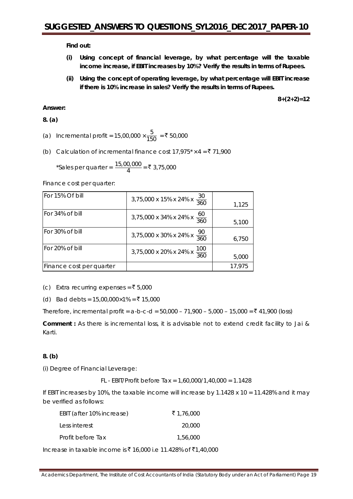**Find out:**

- **(i) Using concept of financial leverage, by what percentage will the taxable income increase, if EBIT increases by 10%? Verify the results in terms of Rupees.**
- **(ii) Using the concept of operating leverage, by what percentage will EBIT increase if there is 10% increase in sales? Verify the results in terms of Rupees.**

**8+(2+2)=12**

## **Answer:**

**8. (a)**

- (a) Incremental profit = 15,00,000  $\times \frac{5}{150}$  = ₹ 50,000
- (b) Calculation of incremental finance cost  $17,975 \times 4 = 71,900$

\*Sales per quarter =  $\frac{15,00,000}{4}$  = ₹ 3,75,000

Finance cost per quarter:

| For 15% Of bill          | 3,75,000 x 15% x 24% x $\frac{30}{360}$  | 1,125  |
|--------------------------|------------------------------------------|--------|
| For 34% of bill          | 3,75,000 x 34% x 24% x $\frac{60}{360}$  | 5,100  |
| For 30% of bill          | 3,75,000 x 30% x 24% x $\frac{90}{360}$  | 6,750  |
| For 20% of bill          | 3,75,000 x 20% x 24% x $\frac{100}{360}$ | 5,000  |
| Finance cost per quarter |                                          | 17,975 |

(c) Extra recurring expenses =  $\overline{\xi}$  5,000

(d) Bad debts = 15,00,000×1% = ₹ 15,000

Therefore, incremental profit =  $a-b-c-d = 50,000 - 71,900 - 5,000 - 15,000 = \t{3}41,900$  (loss)

**Comment :** As there is incremental loss, it is advisable not to extend credit facility to Jai & Karti.

## **8. (b)**

*(i) Degree of Financial Leverage:*

FL - EBIT/Profit before Tax = 1,60,000/1,40,000 = 1.1428

If EBIT increases by 10%, the taxable income will increase by  $1.1428 \times 10 = 11.428\%$  and it may be verified as follows:

| EBIT (after 10% increase) | ₹1,76,000 |
|---------------------------|-----------|
| Less interest             | 20,000    |
| Profit before Tax         | 1.56.000  |

Increase in taxable income is ₹ 16,000 i.e 11.428% of ₹1,40,000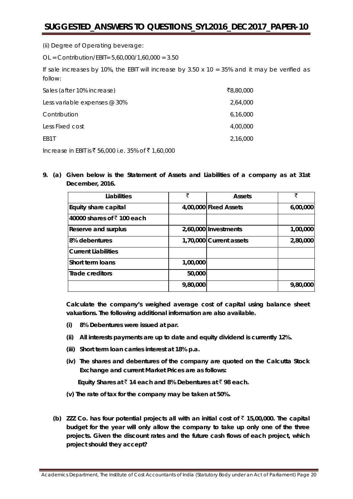*(ii) Degree of Operating beverage:*

OL = Contribution/EBIT= 5,60,000/1,60,000 = 3.50

If sale increases by 10%, the EBIT will increase by  $3.50 \times 10 = 35\%$  and it may be verified as follow:

| Sales (after 10% increase)   | ₹8,80,000 |
|------------------------------|-----------|
| Less variable expenses @ 30% | 2,64,000  |
| Contribution                 | 6,16,000  |
| Less Fixed cost              | 4,00,000  |
| FB <sub>1</sub> T            | 2,16,000  |

Increase in EBIT is ₹ 56,000 i.e. 35% of ₹ 1,60,000

**9. (a) Given below is the Statement of Assets and Liabilities of a company as at 31st December, 2016.**

| Liabilities                        | ₹        | <b>Assets</b>           | ₹        |
|------------------------------------|----------|-------------------------|----------|
| Equity share capital               |          | 4,00,000 Fixed Assets   | 6,00,000 |
| 40000 shares of $\bar{z}$ 100 each |          |                         |          |
| Reserve and surplus                |          | 2,60,000 Investments    | 1,00,000 |
| 8% debentures                      |          | 1,70,000 Current assets | 2,80,000 |
| <b>Current Liabilities</b>         |          |                         |          |
| Short term loans                   | 1,00,000 |                         |          |
| Trade creditors                    | 50,000   |                         |          |
|                                    | 9,80,000 |                         | 9,80,000 |

**Calculate the company's weighed average cost of capital using balance sheet valuations. The following additional information are also available.**

- **(i) 8% Debentures were issued at par.**
- **(ii) All interests payments are up to date and equity dividend is currently 12%.**
- **(iii) Short term loan carries interest at 18% p.a.**
- **(iv) The shares and debentures of the company are quoted on the Calcutta Stock Exchange and current Market Prices are as follows:**

 **Equity Shares at** ` **14 each and 8% Debentures at** ` **98 each.**

- **(v) The rate of tax for the company may be taken at 50%.**
- **(b) ZZZ Co. has four potential projects all with an initial cost of** ` **15,00,000. The capital budget for the year will only allow the company to take up only one of the three projects. Given the discount rates and the future cash flows of each project, which project should they accept?**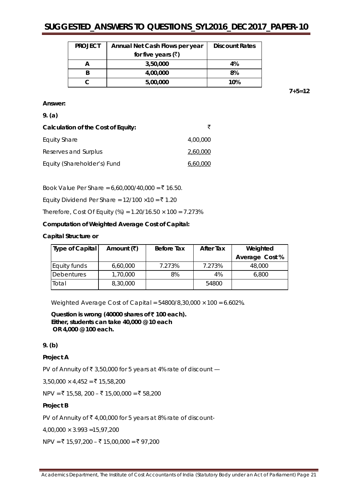| <b>PROJECT</b> | Annual Net Cash Flows per year | <b>Discount Rates</b> |
|----------------|--------------------------------|-----------------------|
|                | for five years $(\bar{\zeta})$ |                       |
|                | 3,50,000                       | 4%                    |
|                | 4,00,000                       | 8%                    |
|                | 5,00,000                       | 10%                   |

**7+5=12**

#### **Answer:**

#### **9. (a)**

| Calculation of the Cost of Equity: |          |
|------------------------------------|----------|
| Equity Share                       | 4.00.000 |
| Reserves and Surplus               | 2,60,000 |
| Equity (Shareholder's) Fund        | 6,60,000 |

Book Value Per Share =  $6,60,000/40,000 = ₹ 16.50$ .

Equity Dividend Per Share =  $12/100 \times 10 = ₹ 1.20$ 

Therefore, Cost Of Equity (%) =  $1.20/16.50 \times 100 = 7.273\%$ 

**Computation of Weighted Average Cost of Capital:**

#### **Capital Structure or**

| Type of Capital   | Amount $(\overline{\mathbf{F}})$ | Before Tax | <b>After Tax</b> | Weighted       |
|-------------------|----------------------------------|------------|------------------|----------------|
|                   |                                  |            |                  | Average Cost % |
| Equity funds      | 6,60,000                         | 7.273%     | 7.273%           | 48,000         |
| <b>Debentures</b> | 1,70,000                         | 8%         | 4%               | 6,800          |
| Total             | 8,30,000                         |            | 54800            |                |

Weighted Average Cost of Capital = 54800/8,30,000 × 100 = 6.602*%.*

**Question is wrong (40000 shares of** ` **100 each). Either, students can take 40,000 @ 10 each OR 4,000 @ 100 each.**

#### **9. (b)**

#### **Project A**

PV of Annuity of ₹ 3,50,000 for 5 years at 4% rate of discount  $-$ 

 $3,50,000 \times 4,452 = ₹ 15,58,200$ 

 $NPV = ₹ 15,58, 200 - ₹ 15,00,000 = ₹ 58,200$ 

#### **Project B**

PV of Annuity of ₹4,00,000 for 5 years at 8% rate of discount-

 $4,00,000 \times 3.993 = 15,97,200$ 

 $NPV = ₹ 15,97,200 - ₹ 15,00,000 = ₹ 97,200$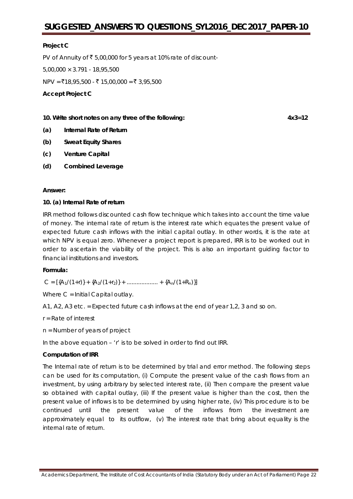#### **Project C**

PV of Annuity of ₹ 5,00,000 for 5 years at 10% rate of discount-

 $5.00,000 \times 3.791 - 18,95,500$ 

 $NPV = ₹18,95,500 - ₹ 15,00,000 = ₹ 3,95,500$ 

**Accept Project C**

**10. Write short notes on** *any three* **of the following: 4x3=12**

**(a) Internal Rate of Return**

- **(b) Sweat Equity Shares**
- **(c) Venture Capital**
- **(d) Combined Leverage**

#### **Answer:**

#### **10. (a) Internal Rate of return**

IRR method follows discounted cash flow technique which takes into account the time value of money. The internal rate of return is the interest rate which equates the present value of expected future cash inflows with the initial capital outlay. In other words, it is the rate at which NPV is equal zero. Whenever a project report is prepared, IRR is to be worked out in order to ascertain the viability of the project. This is also an important guiding factor to financial institutions and investors.

#### **Formula:**

 $C = [{A_1/(1+r)} + {A_2/(1+r)} + \dots + {A_n/(1+R_n)}]$ 

Where C = Initial Capital outlay.

A1, A2, A3 etc. = Expected future cash inflows at the end of year 1,2, 3 and so on.

- r = Rate of interest
- n = Number of years of project

In the above equation – 'r' is to be solved in order to find out IRR.

#### **Computation of IRR**

The Internal rate of return is to be determined by trial and error method. The following steps can be used for its computation, (i) Compute the present value of the cash flows from an investment, by using arbitrary by selected interest rate, (ii) Then compare the present value so obtained with capital outlay, (iii) If the present value is higher than the cost, then the present value of inflows is to be determined by using higher rate, (iv) This procedure is to be continued until the present value of the inflows from the investment are approximately equal to its outflow, (v) The interest rate that bring about equality is the internal rate of return.